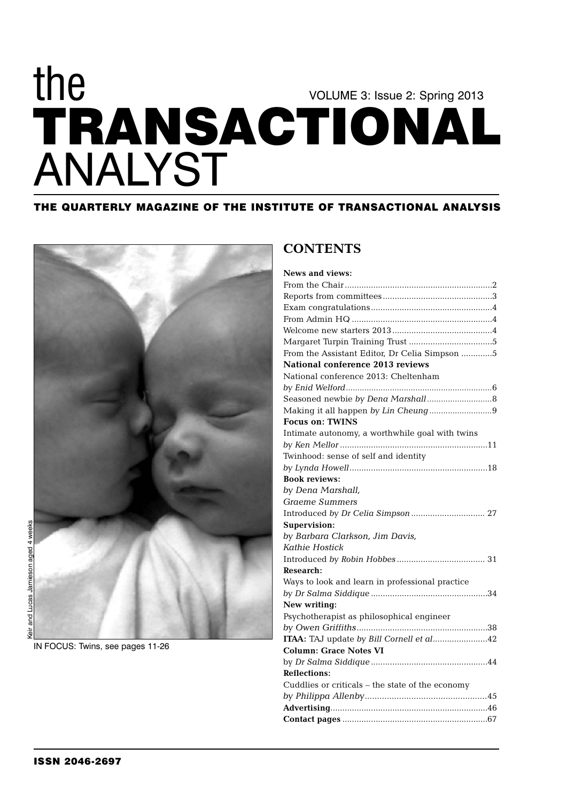## **TRANSACTIONAL** VOLUME 3: Issue 2: Spring 2013 the ANALYST

## **THE QUARTERLY MAGAZINE OF THE INSTITUTE OF TRANSACTIONAL ANALYSIS**



#### IN FOCUS: Twins, see pages 11-26

## **CONTENTS**

| <b>News and views:</b>                           |
|--------------------------------------------------|
|                                                  |
|                                                  |
|                                                  |
|                                                  |
|                                                  |
|                                                  |
| From the Assistant Editor, Dr Celia Simpson 5    |
| National conference 2013 reviews                 |
| National conference 2013: Cheltenham             |
|                                                  |
|                                                  |
| Making it all happen by Lin Cheung9              |
| <b>Focus on: TWINS</b>                           |
| Intimate autonomy, a worthwhile goal with twins  |
|                                                  |
| Twinhood: sense of self and identity             |
|                                                  |
| <b>Book reviews:</b>                             |
| by Dena Marshall,                                |
| <b>Graeme Summers</b>                            |
| Introduced by Dr Celia Simpson  27               |
| Supervision:                                     |
| by Barbara Clarkson, Jim Davis,                  |
| Kathie Hostick                                   |
|                                                  |
| <b>Research:</b>                                 |
| Ways to look and learn in professional practice  |
|                                                  |
| New writing:                                     |
| Psychotherapist as philosophical engineer        |
|                                                  |
| ITAA: TAJ update by Bill Cornell et al42         |
| <b>Column: Grace Notes VI</b>                    |
|                                                  |
| <b>Reflections:</b>                              |
| Cuddlies or criticals – the state of the economy |
|                                                  |
|                                                  |
|                                                  |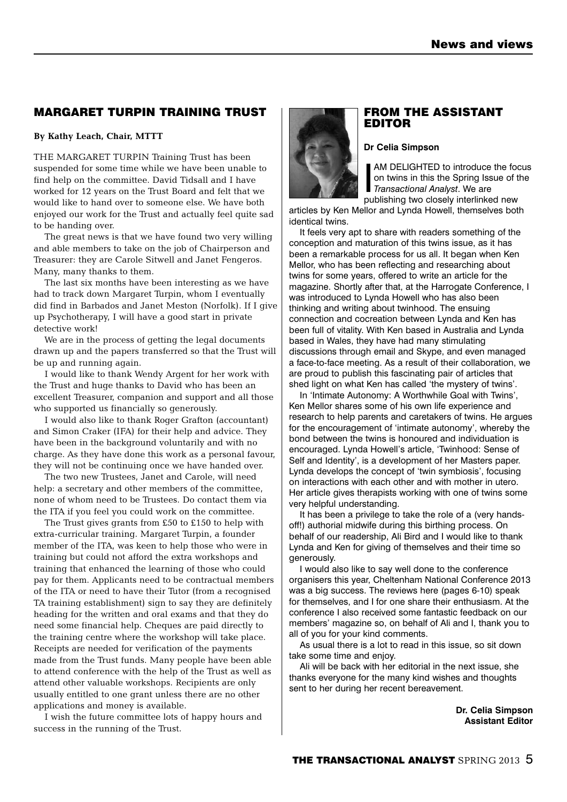## **MARGARET TURPIN TRAINING TRUST**

### **By Kathy Leach, Chair, MTTT**

THE MARGARET TURPIN Training Trust has been suspended for some time while we have been unable to find help on the committee. David Tidsall and I have worked for 12 years on the Trust Board and felt that we would like to hand over to someone else. We have both enjoyed our work for the Trust and actually feel quite sad to be handing over.

The great news is that we have found two very willing and able members to take on the job of Chairperson and Treasurer: they are Carole Sitwell and Janet Fengeros. Many, many thanks to them.

The last six months have been interesting as we have had to track down Margaret Turpin, whom I eventually did find in Barbados and Janet Meston (Norfolk). If I give up Psychotherapy, I will have a good start in private detective work!

We are in the process of getting the legal documents drawn up and the papers transferred so that the Trust will be up and running again.

I would like to thank Wendy Argent for her work with the Trust and huge thanks to David who has been an excellent Treasurer, companion and support and all those who supported us financially so generously.

I would also like to thank Roger Grafton (accountant) and Simon Craker (IFA) for their help and advice. They have been in the background voluntarily and with no charge. As they have done this work as a personal favour, they will not be continuing once we have handed over.

The two new Trustees, Janet and Carole, will need help: a secretary and other members of the committee, none of whom need to be Trustees. Do contact them via the ITA if you feel you could work on the committee.

The Trust gives grants from £50 to £150 to help with extra-curricular training. Margaret Turpin, a founder member of the ITA, was keen to help those who were in training but could not afford the extra workshops and training that enhanced the learning of those who could pay for them. Applicants need to be contractual members of the ITA or need to have their Tutor (from a recognised TA training establishment) sign to say they are definitely heading for the written and oral exams and that they do need some financial help. Cheques are paid directly to the training centre where the workshop will take place. Receipts are needed for verification of the payments made from the Trust funds. Many people have been able to attend conference with the help of the Trust as well as attend other valuable workshops. Recipients are only usually entitled to one grant unless there are no other applications and money is available.

I wish the future committee lots of happy hours and success in the running of the Trust.



## **FROM THE ASSISTANT EDITOR**

#### **Dr Celia Simpson**

**IM DELIGHTED to introduce<br>
on twins in this the Spring Iss<br>** *Transactional Analyst***. We are<br>
publishing two closely interlinks** AM DELIGHTED to introduce the focus on twins in this the Spring Issue of the publishing two closely interlinked new

articles by Ken Mellor and Lynda Howell, themselves both identical twins.

It feels very apt to share with readers something of the conception and maturation of this twins issue, as it has been a remarkable process for us all. It began when Ken Mellor, who has been reflecting and researching about twins for some years, offered to write an article for the magazine. Shortly after that, at the Harrogate Conference, I was introduced to Lynda Howell who has also been thinking and writing about twinhood. The ensuing connection and cocreation between Lynda and Ken has been full of vitality. With Ken based in Australia and Lynda based in Wales, they have had many stimulating discussions through email and Skype, and even managed a face-to-face meeting. As a result of their collaboration, we are proud to publish this fascinating pair of articles that shed light on what Ken has called 'the mystery of twins'.

In 'Intimate Autonomy: A Worthwhile Goal with Twins', Ken Mellor shares some of his own life experience and research to help parents and caretakers of twins. He argues for the encouragement of 'intimate autonomy', whereby the bond between the twins is honoured and individuation is encouraged. Lynda Howell's article, 'Twinhood: Sense of Self and Identity', is a development of her Masters paper. Lynda develops the concept of 'twin symbiosis', focusing on interactions with each other and with mother in utero. Her article gives therapists working with one of twins some very helpful understanding.

It has been a privilege to take the role of a (very handsoff!) authorial midwife during this birthing process. On behalf of our readership, Ali Bird and I would like to thank Lynda and Ken for giving of themselves and their time so generously.

I would also like to say well done to the conference organisers this year, Cheltenham National Conference 2013 was a big success. The reviews here (pages 6-10) speak for themselves, and I for one share their enthusiasm. At the conference I also received some fantastic feedback on our members' magazine so, on behalf of Ali and I, thank you to all of you for your kind comments.

As usual there is a lot to read in this issue, so sit down take some time and enjoy.

Ali will be back with her editorial in the next issue, she thanks everyone for the many kind wishes and thoughts sent to her during her recent bereavement.

> **Dr. Celia Simpson Assistant Editor**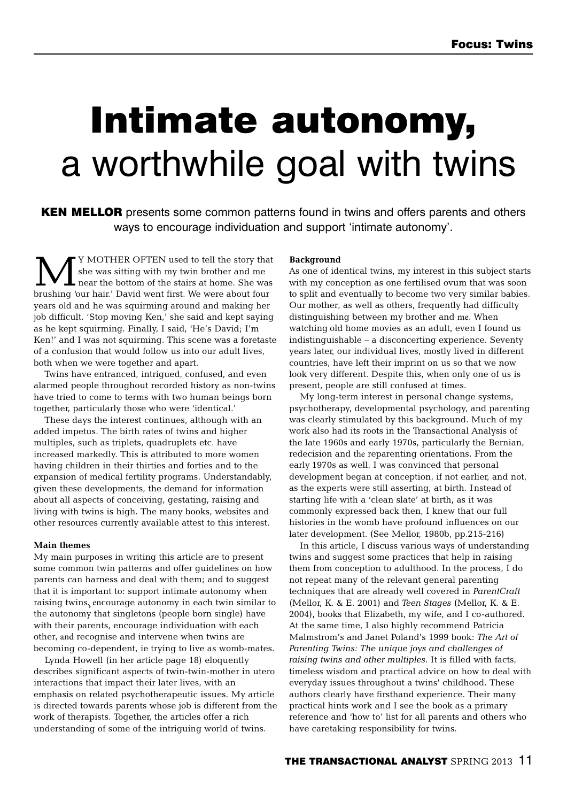# **Intimate autonomy,** a worthwhile goal with twins

**KEN MELLOR** presents some common patterns found in twins and offers parents and others ways to encourage individuation and support 'intimate autonomy'.

Y MOTHER OFTEN used to tell the story that she was sitting with my twin brother and me near the bottom of the stairs at home. She was brushing 'our hair.' David went first. We were about four years old and he was squirming around and making her job difficult. 'Stop moving Ken,' she said and kept saying as he kept squirming. Finally, I said, 'He's David; I'm Ken!' and I was not squirming. This scene was a foretaste of a confusion that would follow us into our adult lives, both when we were together and apart.

Twins have entranced, intrigued, confused, and even alarmed people throughout recorded history as non-twins have tried to come to terms with two human beings born together, particularly those who were 'identical.'

These days the interest continues, although with an added impetus. The birth rates of twins and higher multiples, such as triplets, quadruplets etc. have increased markedly. This is attributed to more women having children in their thirties and forties and to the expansion of medical fertility programs. Understandably, given these developments, the demand for information about all aspects of conceiving, gestating, raising and living with twins is high. The many books, websites and other resources currently available attest to this interest.

#### **Main themes**

My main purposes in writing this article are to present some common twin patterns and offer guidelines on how parents can harness and deal with them; and to suggest that it is important to: support intimate autonomy when raising twins, encourage autonomy in each twin similar to , the autonomy that singletons (people born single) have with their parents, encourage individuation with each other, and recognise and intervene when twins are becoming co-dependent, ie trying to live as womb-mates.

Lynda Howell (in her article page 18) eloquently describes significant aspects of twin-twin-mother in utero interactions that impact their later lives, with an emphasis on related psychotherapeutic issues. My article is directed towards parents whose job is different from the work of therapists. Together, the articles offer a rich understanding of some of the intriguing world of twins.

#### **Background**

As one of identical twins, my interest in this subject starts with my conception as one fertilised ovum that was soon to split and eventually to become two very similar babies. Our mother, as well as others, frequently had difficulty distinguishing between my brother and me. When watching old home movies as an adult, even I found us indistinguishable – a disconcerting experience. Seventy years later, our individual lives, mostly lived in different countries, have left their imprint on us so that we now look very different. Despite this, when only one of us is present, people are still confused at times.

My long-term interest in personal change systems, psychotherapy, developmental psychology, and parenting was clearly stimulated by this background. Much of my work also had its roots in the Transactional Analysis of the late 1960s and early 1970s, particularly the Bernian, redecision and the reparenting orientations. From the early 1970s as well, I was convinced that personal development began at conception, if not earlier, and not, as the experts were still asserting, at birth. Instead of starting life with a 'clean slate' at birth, as it was commonly expressed back then, I knew that our full histories in the womb have profound influences on our later development. (See Mellor, 1980b, pp.215-216)

In this article, I discuss various ways of understanding twins and suggest some practices that help in raising them from conception to adulthood. In the process, I do not repeat many of the relevant general parenting techniques that are already well covered in *ParentCraft* (Mellor, K. & E. 2001) and *Teen Stages* (Mellor, K. & E. 2004), books that Elizabeth, my wife, and I co-authored. At the same time, I also highly recommend Patricia Malmstrom's and Janet Poland's 1999 book: *The Art of Parenting Twins: The unique joys and challenges of raising twins and other multiples*. It is filled with facts, timeless wisdom and practical advice on how to deal with everyday issues throughout a twins' childhood. These authors clearly have firsthand experience. Their many practical hints work and I see the book as a primary reference and 'how to' list for all parents and others who have caretaking responsibility for twins.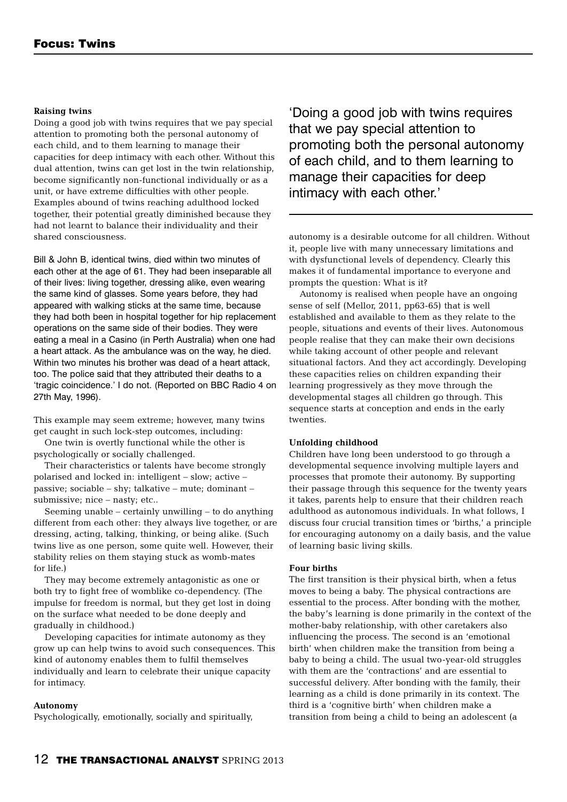#### **Raising twins**

Doing a good job with twins requires that we pay special attention to promoting both the personal autonomy of each child, and to them learning to manage their capacities for deep intimacy with each other. Without this dual attention, twins can get lost in the twin relationship, become significantly non-functional individually or as a unit, or have extreme difficulties with other people. Examples abound of twins reaching adulthood locked together, their potential greatly diminished because they had not learnt to balance their individuality and their shared consciousness.

Bill & John B, identical twins, died within two minutes of each other at the age of 61. They had been inseparable all of their lives: living together, dressing alike, even wearing the same kind of glasses. Some years before, they had appeared with walking sticks at the same time, because they had both been in hospital together for hip replacement operations on the same side of their bodies. They were eating a meal in a Casino (in Perth Australia) when one had a heart attack. As the ambulance was on the way, he died. Within two minutes his brother was dead of a heart attack, too. The police said that they attributed their deaths to a 'tragic coincidence.' I do not. (Reported on BBC Radio 4 on 27th May, 1996).

This example may seem extreme; however, many twins get caught in such lock-step outcomes, including:

One twin is overtly functional while the other is psychologically or socially challenged.

Their characteristics or talents have become strongly polarised and locked in: intelligent – slow; active – passive; sociable – shy; talkative – mute; dominant – submissive; nice – nasty; etc..

Seeming unable – certainly unwilling – to do anything different from each other: they always live together, or are dressing, acting, talking, thinking, or being alike. (Such twins live as one person, some quite well. However, their stability relies on them staying stuck as womb-mates for life.)

They may become extremely antagonistic as one or both try to fight free of womblike co-dependency. (The impulse for freedom is normal, but they get lost in doing on the surface what needed to be done deeply and gradually in childhood.)

Developing capacities for intimate autonomy as they grow up can help twins to avoid such consequences. This kind of autonomy enables them to fulfil themselves individually and learn to celebrate their unique capacity for intimacy.

#### **Autonomy**

Psychologically, emotionally, socially and spiritually,

'Doing a good job with twins requires that we pay special attention to promoting both the personal autonomy of each child, and to them learning to manage their capacities for deep intimacy with each other.'

autonomy is a desirable outcome for all children. Without it, people live with many unnecessary limitations and with dysfunctional levels of dependency. Clearly this makes it of fundamental importance to everyone and prompts the question: What is it?

Autonomy is realised when people have an ongoing sense of self (Mellor, 2011, pp63-65) that is well established and available to them as they relate to the people, situations and events of their lives. Autonomous people realise that they can make their own decisions while taking account of other people and relevant situational factors. And they act accordingly. Developing these capacities relies on children expanding their learning progressively as they move through the developmental stages all children go through. This sequence starts at conception and ends in the early twenties.

#### **Unfolding childhood**

Children have long been understood to go through a developmental sequence involving multiple layers and processes that promote their autonomy. By supporting their passage through this sequence for the twenty years it takes, parents help to ensure that their children reach adulthood as autonomous individuals. In what follows, I discuss four crucial transition times or 'births,' a principle for encouraging autonomy on a daily basis, and the value of learning basic living skills.

#### **Four births**

The first transition is their physical birth, when a fetus moves to being a baby. The physical contractions are essential to the process. After bonding with the mother, the baby's learning is done primarily in the context of the mother-baby relationship, with other caretakers also influencing the process. The second is an 'emotional birth' when children make the transition from being a baby to being a child. The usual two-year-old struggles with them are the 'contractions' and are essential to successful delivery. After bonding with the family, their learning as a child is done primarily in its context. The third is a 'cognitive birth' when children make a transition from being a child to being an adolescent (a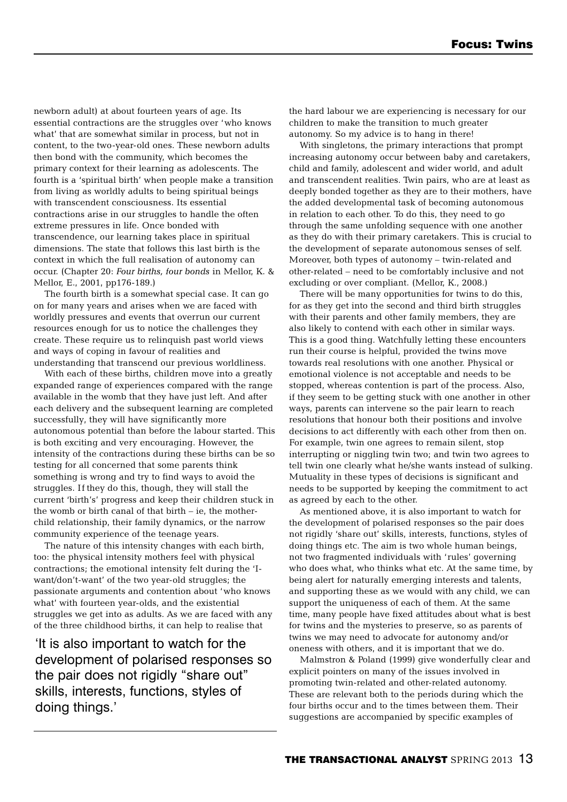newborn adult) at about fourteen years of age. Its essential contractions are the struggles over 'who knows what' that are somewhat similar in process, but not in content, to the two-year-old ones. These newborn adults then bond with the community, which becomes the primary context for their learning as adolescents. The fourth is a 'spiritual birth' when people make a transition from living as worldly adults to being spiritual beings with transcendent consciousness. Its essential contractions arise in our struggles to handle the often extreme pressures in life. Once bonded with transcendence, our learning takes place in spiritual dimensions. The state that follows this last birth is the context in which the full realisation of autonomy can occur. (Chapter 20: *Four births, four bonds* in Mellor, K. & Mellor, E., 2001, pp176-189.)

The fourth birth is a somewhat special case. It can go on for many years and arises when we are faced with worldly pressures and events that overrun our current resources enough for us to notice the challenges they create. These require us to relinquish past world views and ways of coping in favour of realities and understanding that transcend our previous worldliness.

With each of these births, children move into a greatly expanded range of experiences compared with the range available in the womb that they have just left. And after each delivery and the subsequent learning are completed successfully, they will have significantly more autonomous potential than before the labour started. This is both exciting and very encouraging. However, the intensity of the contractions during these births can be so testing for all concerned that some parents think something is wrong and try to find ways to avoid the struggles. If they do this, though, they will stall the current 'birth's' progress and keep their children stuck in the womb or birth canal of that birth – ie, the motherchild relationship, their family dynamics, or the narrow community experience of the teenage years.

The nature of this intensity changes with each birth, too: the physical intensity mothers feel with physical contractions; the emotional intensity felt during the 'Iwant/don't-want' of the two year-old struggles; the passionate arguments and contention about 'who knows what' with fourteen year-olds, and the existential struggles we get into as adults. As we are faced with any of the three childhood births, it can help to realise that

'It is also important to watch for the development of polarised responses so the pair does not rigidly "share out" skills, interests, functions, styles of doing things.'

the hard labour we are experiencing is necessary for our children to make the transition to much greater autonomy. So my advice is to hang in there!

With singletons, the primary interactions that prompt increasing autonomy occur between baby and caretakers, child and family, adolescent and wider world, and adult and transcendent realities. Twin pairs, who are at least as deeply bonded together as they are to their mothers, have the added developmental task of becoming autonomous in relation to each other. To do this, they need to go through the same unfolding sequence with one another as they do with their primary caretakers. This is crucial to the development of separate autonomous senses of self. Moreover, both types of autonomy – twin-related and other-related – need to be comfortably inclusive and not excluding or over compliant. (Mellor, K., 2008.)

There will be many opportunities for twins to do this, for as they get into the second and third birth struggles with their parents and other family members, they are also likely to contend with each other in similar ways. This is a good thing. Watchfully letting these encounters run their course is helpful, provided the twins move towards real resolutions with one another. Physical or emotional violence is not acceptable and needs to be stopped, whereas contention is part of the process. Also, if they seem to be getting stuck with one another in other ways, parents can intervene so the pair learn to reach resolutions that honour both their positions and involve decisions to act differently with each other from then on. For example, twin one agrees to remain silent, stop interrupting or niggling twin two; and twin two agrees to tell twin one clearly what he/she wants instead of sulking. Mutuality in these types of decisions is significant and needs to be supported by keeping the commitment to act as agreed by each to the other.

As mentioned above, it is also important to watch for the development of polarised responses so the pair does not rigidly 'share out' skills, interests, functions, styles of doing things etc. The aim is two whole human beings, not two fragmented individuals with 'rules' governing who does what, who thinks what etc. At the same time, by being alert for naturally emerging interests and talents, and supporting these as we would with any child, we can support the uniqueness of each of them. At the same time, many people have fixed attitudes about what is best for twins and the mysteries to preserve, so as parents of twins we may need to advocate for autonomy and/or oneness with others, and it is important that we do.

Malmstron & Poland (1999) give wonderfully clear and explicit pointers on many of the issues involved in promoting twin-related and other-related autonomy. These are relevant both to the periods during which the four births occur and to the times between them. Their suggestions are accompanied by specific examples of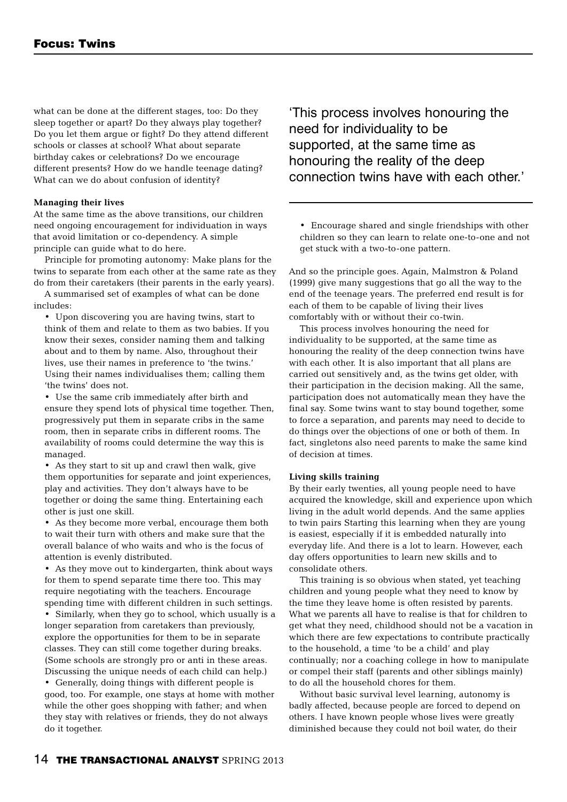what can be done at the different stages, too: Do they sleep together or apart? Do they always play together? Do you let them argue or fight? Do they attend different schools or classes at school? What about separate birthday cakes or celebrations? Do we encourage different presents? How do we handle teenage dating? What can we do about confusion of identity?

#### **Managing their lives**

At the same time as the above transitions, our children need ongoing encouragement for individuation in ways that avoid limitation or co-dependency. A simple principle can guide what to do here.

Principle for promoting autonomy: Make plans for the twins to separate from each other at the same rate as they do from their caretakers (their parents in the early years).

A summarised set of examples of what can be done includes:

• Upon discovering you are having twins, start to think of them and relate to them as two babies. If you know their sexes, consider naming them and talking about and to them by name. Also, throughout their lives, use their names in preference to 'the twins.' Using their names individualises them; calling them 'the twins' does not.

• Use the same crib immediately after birth and ensure they spend lots of physical time together. Then, progressively put them in separate cribs in the same room, then in separate cribs in different rooms. The availability of rooms could determine the way this is managed.

• As they start to sit up and crawl then walk, give them opportunities for separate and joint experiences, play and activities. They don't always have to be together or doing the same thing. Entertaining each other is just one skill.

• As they become more verbal, encourage them both to wait their turn with others and make sure that the overall balance of who waits and who is the focus of attention is evenly distributed.

• As they move out to kindergarten, think about ways for them to spend separate time there too. This may require negotiating with the teachers. Encourage spending time with different children in such settings. • Similarly, when they go to school, which usually is a longer separation from caretakers than previously, explore the opportunities for them to be in separate classes. They can still come together during breaks. (Some schools are strongly pro or anti in these areas. Discussing the unique needs of each child can help.) • Generally, doing things with different people is good, too. For example, one stays at home with mother while the other goes shopping with father; and when they stay with relatives or friends, they do not always do it together.

'This process involves honouring the need for individuality to be supported, at the same time as honouring the reality of the deep connection twins have with each other.'

• Encourage shared and single friendships with other children so they can learn to relate one-to-one and not get stuck with a two-to-one pattern.

And so the principle goes. Again, Malmstron & Poland (1999) give many suggestions that go all the way to the end of the teenage years. The preferred end result is for each of them to be capable of living their lives comfortably with or without their co-twin.

This process involves honouring the need for individuality to be supported, at the same time as honouring the reality of the deep connection twins have with each other. It is also important that all plans are carried out sensitively and, as the twins get older, with their participation in the decision making. All the same, participation does not automatically mean they have the final say. Some twins want to stay bound together, some to force a separation, and parents may need to decide to do things over the objections of one or both of them. In fact, singletons also need parents to make the same kind of decision at times.

#### **Living skills training**

By their early twenties, all young people need to have acquired the knowledge, skill and experience upon which living in the adult world depends. And the same applies to twin pairs Starting this learning when they are young is easiest, especially if it is embedded naturally into everyday life. And there is a lot to learn. However, each day offers opportunities to learn new skills and to consolidate others.

This training is so obvious when stated, yet teaching children and young people what they need to know by the time they leave home is often resisted by parents. What we parents all have to realise is that for children to get what they need, childhood should not be a vacation in which there are few expectations to contribute practically to the household, a time 'to be a child' and play continually; nor a coaching college in how to manipulate or compel their staff (parents and other siblings mainly) to do all the household chores for them.

Without basic survival level learning, autonomy is badly affected, because people are forced to depend on others. I have known people whose lives were greatly diminished because they could not boil water, do their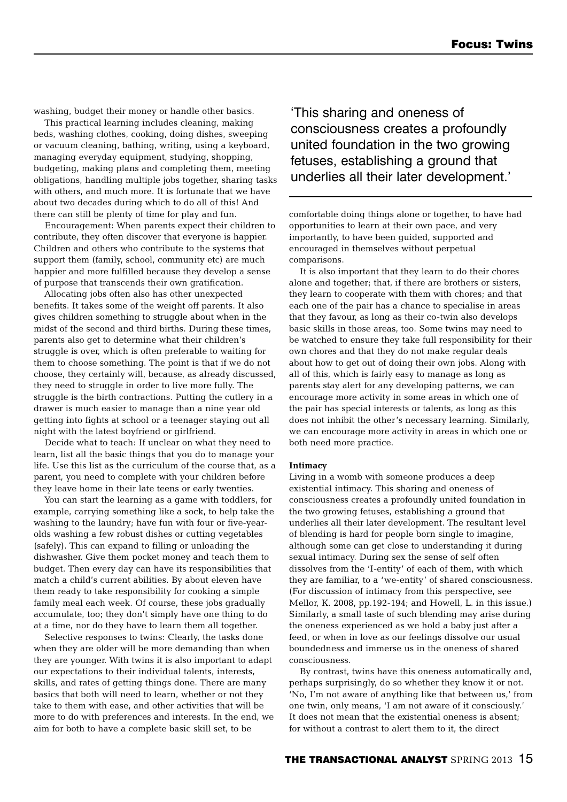washing, budget their money or handle other basics.

This practical learning includes cleaning, making beds, washing clothes, cooking, doing dishes, sweeping or vacuum cleaning, bathing, writing, using a keyboard, managing everyday equipment, studying, shopping, budgeting, making plans and completing them, meeting obligations, handling multiple jobs together, sharing tasks with others, and much more. It is fortunate that we have about two decades during which to do all of this! And there can still be plenty of time for play and fun.

Encouragement: When parents expect their children to contribute, they often discover that everyone is happier. Children and others who contribute to the systems that support them (family, school, community etc) are much happier and more fulfilled because they develop a sense of purpose that transcends their own gratification.

Allocating jobs often also has other unexpected benefits. It takes some of the weight off parents. It also gives children something to struggle about when in the midst of the second and third births. During these times, parents also get to determine what their children's struggle is over, which is often preferable to waiting for them to choose something. The point is that if we do not choose, they certainly will, because, as already discussed, they need to struggle in order to live more fully. The struggle is the birth contractions. Putting the cutlery in a drawer is much easier to manage than a nine year old getting into fights at school or a teenager staying out all night with the latest boyfriend or girlfriend.

Decide what to teach: If unclear on what they need to learn, list all the basic things that you do to manage your life. Use this list as the curriculum of the course that, as a parent, you need to complete with your children before they leave home in their late teens or early twenties.

You can start the learning as a game with toddlers, for example, carrying something like a sock, to help take the washing to the laundry; have fun with four or five-yearolds washing a few robust dishes or cutting vegetables (safely). This can expand to filling or unloading the dishwasher. Give them pocket money and teach them to budget. Then every day can have its responsibilities that match a child's current abilities. By about eleven have them ready to take responsibility for cooking a simple family meal each week. Of course, these jobs gradually accumulate, too; they don't simply have one thing to do at a time, nor do they have to learn them all together.

Selective responses to twins: Clearly, the tasks done when they are older will be more demanding than when they are younger. With twins it is also important to adapt our expectations to their individual talents, interests, skills, and rates of getting things done. There are many basics that both will need to learn, whether or not they take to them with ease, and other activities that will be more to do with preferences and interests. In the end, we aim for both to have a complete basic skill set, to be

'This sharing and oneness of consciousness creates a profoundly united foundation in the two growing fetuses, establishing a ground that underlies all their later development.'

comfortable doing things alone or together, to have had opportunities to learn at their own pace, and very importantly, to have been guided, supported and encouraged in themselves without perpetual comparisons.

It is also important that they learn to do their chores alone and together; that, if there are brothers or sisters, they learn to cooperate with them with chores; and that each one of the pair has a chance to specialise in areas that they favour, as long as their co-twin also develops basic skills in those areas, too. Some twins may need to be watched to ensure they take full responsibility for their own chores and that they do not make regular deals about how to get out of doing their own jobs. Along with all of this, which is fairly easy to manage as long as parents stay alert for any developing patterns, we can encourage more activity in some areas in which one of the pair has special interests or talents, as long as this does not inhibit the other's necessary learning. Similarly, we can encourage more activity in areas in which one or both need more practice.

#### **Intimacy**

Living in a womb with someone produces a deep existential intimacy. This sharing and oneness of consciousness creates a profoundly united foundation in the two growing fetuses, establishing a ground that underlies all their later development. The resultant level of blending is hard for people born single to imagine, although some can get close to understanding it during sexual intimacy. During sex the sense of self often dissolves from the 'I-entity' of each of them, with which they are familiar, to a 'we-entity' of shared consciousness. (For discussion of intimacy from this perspective, see Mellor, K. 2008, pp.192-194; and Howell, L. in this issue.) Similarly, a small taste of such blending may arise during the oneness experienced as we hold a baby just after a feed, or when in love as our feelings dissolve our usual boundedness and immerse us in the oneness of shared consciousness.

By contrast, twins have this oneness automatically and, perhaps surprisingly, do so whether they know it or not. 'No, I'm not aware of anything like that between us,' from one twin, only means, 'I am not aware of it consciously.' It does not mean that the existential oneness is absent; for without a contrast to alert them to it, the direct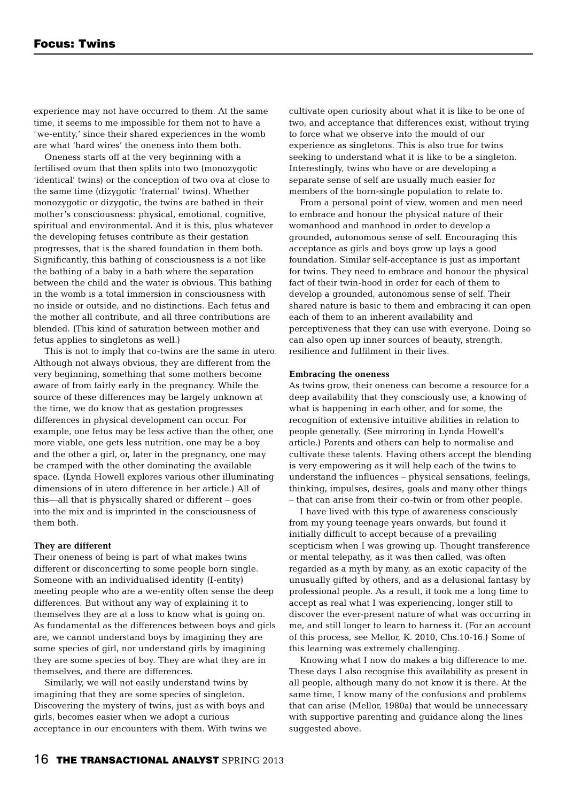experience may not have occurred to them. At the same time, it seems to me impossible for them not to have a 'we-entity,' since their shared experiences in the womb are what 'hard wires' the oneness into them both.

Oneness starts off at the very beginning with a fertilised ovum that then splits into two (monozygotic 'identical' twins) or the conception of two ova at close to the same time (dizygotic 'fraternal' twins). Whether monozygotic or dizygotic, the twins are bathed in their mother's consciousness: physical, emotional, cognitive, spiritual and environmental. And it is this, plus whatever the developing fetuses contribute as their gestation progresses, that is the shared foundation in them both. Significantly, this bathing of consciousness is a not like the bathing of a baby in a bath where the separation between the child and the water is obvious. This bathing in the womb is a total immersion in consciousness with no inside or outside, and no distinctions. Each fetus and the mother all contribute, and all three contributions are blended. (This kind of saturation between mother and fetus applies to singletons as well.)

This is not to imply that co-twins are the same in utero. Although not always obvious, they are different from the very beginning, something that some mothers become aware of from fairly early in the pregnancy. While the source of these differences may be largely unknown at the time, we do know that as gestation progresses differences in physical development can occur. For example, one fetus may be less active than the other, one more viable, one gets less nutrition, one may be a boy and the other a girl, or, later in the pregnancy, one may be cramped with the other dominating the available space. (Lynda Howell explores various other illuminating dimensions of in utero difference in her article.) All of this—all that is physically shared or different – goes into the mix and is imprinted in the consciousness of them both.

#### **They are different**

Their oneness of being is part of what makes twins different or disconcerting to some people born single. Someone with an individualised identity (I-entity) meeting people who are a we-entity often sense the deep differences. But without any way of explaining it to themselves they are at a loss to know what is going on. As fundamental as the differences between boys and girls are, we cannot understand boys by imagining they are some species of girl, nor understand girls by imagining they are some species of boy. They are what they are in themselves, and there are differences.

Similarly, we will not easily understand twins by imagining that they are some species of singleton. Discovering the mystery of twins, just as with boys and girls, becomes easier when we adopt a curious acceptance in our encounters with them. With twins we cultivate open curiosity about what it is like to be one of two, and acceptance that differences exist, without trying to force what we observe into the mould of our experience as singletons. This is also true for twins seeking to understand what it is like to be a singleton. Interestingly, twins who have or are developing a separate sense of self are usually much easier for members of the born-single population to relate to.

From a personal point of view, women and men need to embrace and honour the physical nature of their womanhood and manhood in order to develop a grounded, autonomous sense of self. Encouraging this acceptance as girls and boys grow up lays a good foundation. Similar self-acceptance is just as important for twins. They need to embrace and honour the physical fact of their twin-hood in order for each of them to develop a grounded, autonomous sense of self. Their shared nature is basic to them and embracing it can open each of them to an inherent availability and perceptiveness that they can use with everyone. Doing so can also open up inner sources of beauty, strength, resilience and fulfilment in their lives.

#### **Embracing the oneness**

As twins grow, their oneness can become a resource for a deep availability that they consciously use, a knowing of what is happening in each other, and for some, the recognition of extensive intuitive abilities in relation to people generally. (See mirroring in Lynda Howell's article.) Parents and others can help to normalise and cultivate these talents. Having others accept the blending is very empowering as it will help each of the twins to understand the influences – physical sensations, feelings, thinking, impulses, desires, goals and many other things – that can arise from their co-twin or from other people.

I have lived with this type of awareness consciously from my young teenage years onwards, but found it initially difficult to accept because of a prevailing scepticism when I was growing up. Thought transference or mental telepathy, as it was then called, was often regarded as a myth by many, as an exotic capacity of the unusually gifted by others, and as a delusional fantasy by professional people. As a result, it took me a long time to accept as real what I was experiencing, longer still to discover the ever-present nature of what was occurring in me, and still longer to learn to harness it. (For an account of this process, see Mellor, K. 2010, Chs.10-16.) Some of this learning was extremely challenging.

Knowing what I now do makes a big difference to me. These days I also recognise this availability as present in all people, although many do not know it is there. At the same time, I know many of the confusions and problems that can arise (Mellor, 1980a) that would be unnecessary with supportive parenting and guidance along the lines suggested above.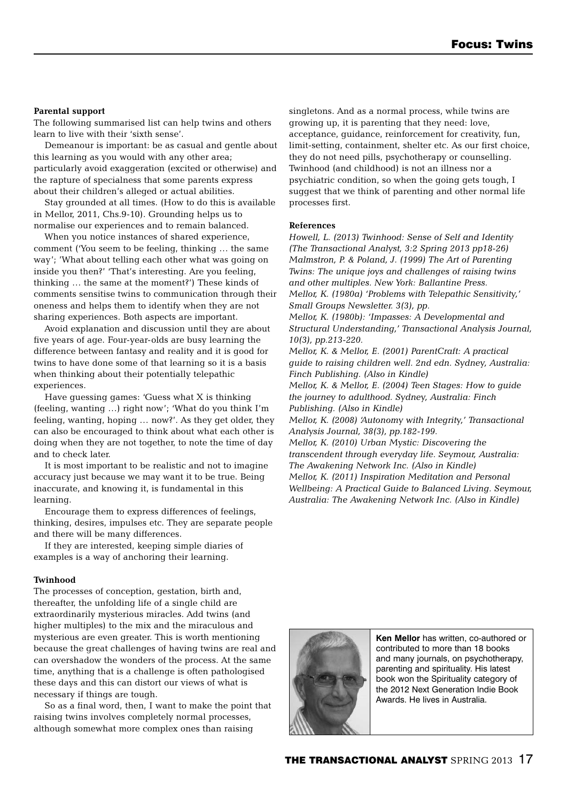#### **Parental support**

The following summarised list can help twins and others learn to live with their 'sixth sense'.

Demeanour is important: be as casual and gentle about this learning as you would with any other area; particularly avoid exaggeration (excited or otherwise) and the rapture of specialness that some parents express about their children's alleged or actual abilities.

Stay grounded at all times. (How to do this is available in Mellor, 2011, Chs.9-10). Grounding helps us to normalise our experiences and to remain balanced.

When you notice instances of shared experience, comment ('You seem to be feeling, thinking … the same way'; 'What about telling each other what was going on inside you then?' 'That's interesting. Are you feeling, thinking … the same at the moment?') These kinds of comments sensitise twins to communication through their oneness and helps them to identify when they are not sharing experiences. Both aspects are important.

Avoid explanation and discussion until they are about five years of age. Four-year-olds are busy learning the difference between fantasy and reality and it is good for twins to have done some of that learning so it is a basis when thinking about their potentially telepathic experiences.

Have guessing games: 'Guess what X is thinking (feeling, wanting …) right now'; 'What do you think I'm feeling, wanting, hoping … now?'. As they get older, they can also be encouraged to think about what each other is doing when they are not together, to note the time of day and to check later.

It is most important to be realistic and not to imagine accuracy just because we may want it to be true. Being inaccurate, and knowing it, is fundamental in this learning.

Encourage them to express differences of feelings, thinking, desires, impulses etc. They are separate people and there will be many differences.

If they are interested, keeping simple diaries of examples is a way of anchoring their learning.

#### **Twinhood**

The processes of conception, gestation, birth and, thereafter, the unfolding life of a single child are extraordinarily mysterious miracles. Add twins (and higher multiples) to the mix and the miraculous and mysterious are even greater. This is worth mentioning because the great challenges of having twins are real and can overshadow the wonders of the process. At the same time, anything that is a challenge is often pathologised these days and this can distort our views of what is necessary if things are tough.

So as a final word, then, I want to make the point that raising twins involves completely normal processes, although somewhat more complex ones than raising

singletons. And as a normal process, while twins are growing up, it is parenting that they need: love, acceptance, guidance, reinforcement for creativity, fun, limit-setting, containment, shelter etc. As our first choice, they do not need pills, psychotherapy or counselling. Twinhood (and childhood) is not an illness nor a psychiatric condition, so when the going gets tough, I suggest that we think of parenting and other normal life processes first.

#### **References**

*Howell, L. (2013) Twinhood: Sense of Self and Identity (The Transactional Analyst, 3:2 Spring 2013 pp18-26) Malmstron, P. & Poland, J. (1999) The Art of Parenting Twins: The unique joys and challenges of raising twins and other multiples. New York: Ballantine Press. Mellor, K. (1980a) 'Problems with Telepathic Sensitivity,' Small Groups Newsletter. 3(3), pp.*

*Mellor, K. (1980b): 'Impasses: A Developmental and Structural Understanding,' Transactional Analysis Journal, 10(3), pp.213-220.*

*Mellor, K. & Mellor, E. (2001) ParentCraft: A practical guide to raising children well. 2nd edn. Sydney, Australia: Finch Publishing. (Also in Kindle)*

*Mellor, K. & Mellor, E. (2004) Teen Stages: How to guide the journey to adulthood. Sydney, Australia: Finch Publishing. (Also in Kindle)*

*Mellor, K. (2008) 'Autonomy with Integrity,' Transactional Analysis Journal, 38(3), pp.182-199.*

*Mellor, K. (2010) Urban Mystic: Discovering the transcendent through everyday life. Seymour, Australia: The Awakening Network Inc. (Also in Kindle) Mellor, K. (2011) Inspiration Meditation and Personal Wellbeing: A Practical Guide to Balanced Living. Seymour, Australia: The Awakening Network Inc. (Also in Kindle)*



**Ken Mellor** has written, co-authored or contributed to more than 18 books and many journals, on psychotherapy, parenting and spirituality. His latest book won the Spirituality category of the 2012 Next Generation Indie Book Awards. He lives in Australia.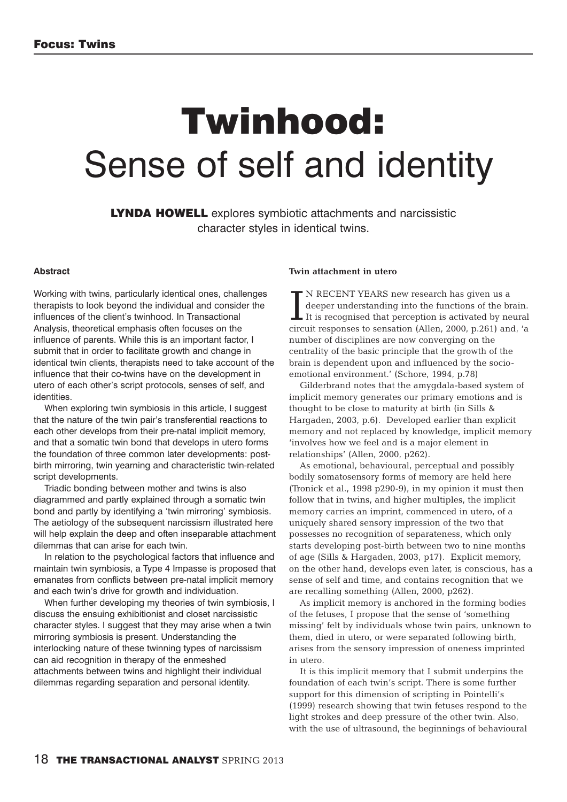# **Twinhood:** Sense of self and identity

**LYNDA HOWELL** explores symbiotic attachments and narcissistic character styles in identical twins.

#### **Abstract**

Working with twins, particularly identical ones, challenges therapists to look beyond the individual and consider the influences of the client's twinhood. In Transactional Analysis, theoretical emphasis often focuses on the influence of parents. While this is an important factor, I submit that in order to facilitate growth and change in identical twin clients, therapists need to take account of the influence that their co-twins have on the development in utero of each other's script protocols, senses of self, and identities.

When exploring twin symbiosis in this article, I suggest that the nature of the twin pair's transferential reactions to each other develops from their pre-natal implicit memory, and that a somatic twin bond that develops in utero forms the foundation of three common later developments: postbirth mirroring, twin yearning and characteristic twin-related script developments.

Triadic bonding between mother and twins is also diagrammed and partly explained through a somatic twin bond and partly by identifying a 'twin mirroring' symbiosis. The aetiology of the subsequent narcissism illustrated here will help explain the deep and often inseparable attachment dilemmas that can arise for each twin.

In relation to the psychological factors that influence and maintain twin symbiosis, a Type 4 Impasse is proposed that emanates from conflicts between pre-natal implicit memory and each twin's drive for growth and individuation.

When further developing my theories of twin symbiosis, I discuss the ensuing exhibitionist and closet narcissistic character styles. I suggest that they may arise when a twin mirroring symbiosis is present. Understanding the interlocking nature of these twinning types of narcissism can aid recognition in therapy of the enmeshed attachments between twins and highlight their individual dilemmas regarding separation and personal identity.

#### **Twin attachment in utero**

IN RECENT YEARS new research has given us a<br>deeper understanding into the functions of the brain.<br>It is recognised that perception is activated by neural<br>circuit responses to sensation (Allen, 2000, p.261) and, 'a N RECENT YEARS new research has given us a deeper understanding into the functions of the brain.  $\blacksquare$  It is recognised that perception is activated by neural number of disciplines are now converging on the centrality of the basic principle that the growth of the brain is dependent upon and influenced by the socioemotional environment.' (Schore, 1994, p.78)

Gilderbrand notes that the amygdala-based system of implicit memory generates our primary emotions and is thought to be close to maturity at birth (in Sills & Hargaden, 2003, p.6). Developed earlier than explicit memory and not replaced by knowledge, implicit memory 'involves how we feel and is a major element in relationships' (Allen, 2000, p262).

As emotional, behavioural, perceptual and possibly bodily somatosensory forms of memory are held here (Tronick et al., 1998 p290-9), in my opinion it must then follow that in twins, and higher multiples, the implicit memory carries an imprint, commenced in utero, of a uniquely shared sensory impression of the two that possesses no recognition of separateness, which only starts developing post-birth between two to nine months of age (Sills & Hargaden, 2003, p17). Explicit memory, on the other hand, develops even later, is conscious, has a sense of self and time, and contains recognition that we are recalling something (Allen, 2000, p262).

As implicit memory is anchored in the forming bodies of the fetuses, I propose that the sense of 'something missing' felt by individuals whose twin pairs, unknown to them, died in utero, or were separated following birth, arises from the sensory impression of oneness imprinted in utero.

It is this implicit memory that I submit underpins the foundation of each twin's script. There is some further support for this dimension of scripting in Pointelli's (1999) research showing that twin fetuses respond to the light strokes and deep pressure of the other twin. Also, with the use of ultrasound, the beginnings of behavioural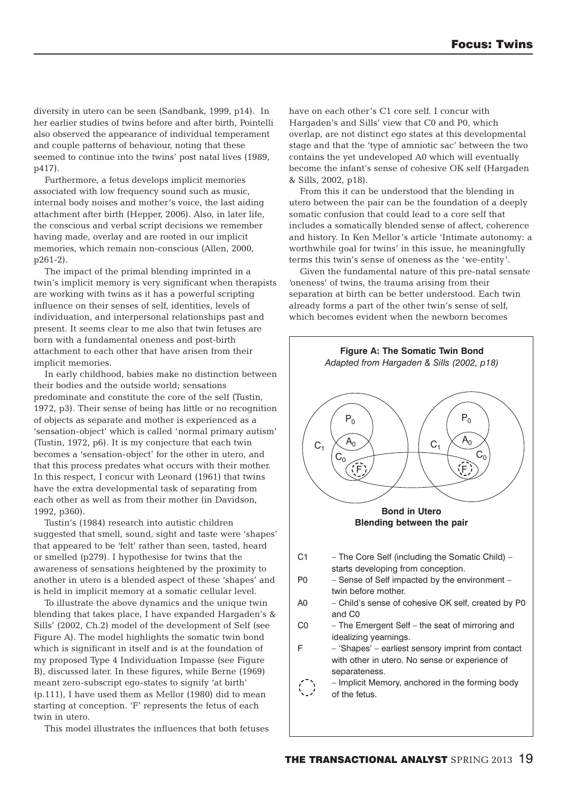diversity in utero can be seen (Sandbank, 1999, p14). In her earlier studies of twins before and after birth, Pointelli also observed the appearance of individual temperament and couple patterns of behaviour, noting that these seemed to continue into the twins' post natal lives (1989, p417).

Furthermore, a fetus develops implicit memories associated with low frequency sound such as music, internal body noises and mother's voice, the last aiding attachment after birth (Hepper, 2006). Also, in later life, the conscious and verbal script decisions we remember having made, overlay and are rooted in our implicit memories, which remain non-conscious (Allen, 2000, p261-2).

The impact of the primal blending imprinted in a twin's implicit memory is very significant when therapists are working with twins as it has a powerful scripting influence on their senses of self, identities, levels of individuation, and interpersonal relationships past and present. It seems clear to me also that twin fetuses are born with a fundamental oneness and post-birth attachment to each other that have arisen from their implicit memories.

In early childhood, babies make no distinction between their bodies and the outside world; sensations predominate and constitute the core of the self (Tustin, 1972, p3). Their sense of being has little or no recognition of objects as separate and mother is experienced as a 'sensation-object' which is called 'normal primary autism' (Tustin, 1972, p6). It is my conjecture that each twin becomes a 'sensation-object' for the other in utero, and that this process predates what occurs with their mother. In this respect, I concur with Leonard (1961) that twins have the extra developmental task of separating from each other as well as from their mother (in Davidson, 1992, p360).

Tustin's (1984) research into autistic children suggested that smell, sound, sight and taste were 'shapes' that appeared to be 'felt' rather than seen, tasted, heard or smelled (p279). I hypothesise for twins that the awareness of sensations heightened by the proximity to another in utero is a blended aspect of these 'shapes' and is held in implicit memory at a somatic cellular level.

To illustrate the above dynamics and the unique twin blending that takes place, I have expanded Hargaden's & Sills' (2002, Ch.2) model of the development of Self (see Figure A). The model highlights the somatic twin bond which is significant in itself and is at the foundation of my proposed Type 4 Individuation Impasse (see Figure B), discussed later. In these figures, while Berne (1969) meant zero-subscript ego-states to signify 'at birth' (p.111), I have used them as Mellor (1980) did to mean starting at conception. 'F' represents the fetus of each twin in utero.

This model illustrates the influences that both fetuses

have on each other's C1 core self. I concur with Hargaden's and Sills' view that C0 and P0, which overlap, are not distinct ego states at this developmental stage and that the 'type of amniotic sac' between the two contains the yet undeveloped A0 which will eventually become the infant's sense of cohesive OK self (Hargaden & Sills, 2002, p18).

From this it can be understood that the blending in utero between the pair can be the foundation of a deeply somatic confusion that could lead to a core self that includes a somatically blended sense of affect, coherence and history. In Ken Mellor's article 'Intimate autonomy: a worthwhile goal for twins' in this issue, he meaningfully terms this twin's sense of oneness as the 'we-entity'.

Given the fundamental nature of this pre-natal sensate 'oneness' of twins, the trauma arising from their separation at birth can be better understood. Each twin already forms a part of the other twin's sense of self, which becomes evident when the newborn becomes

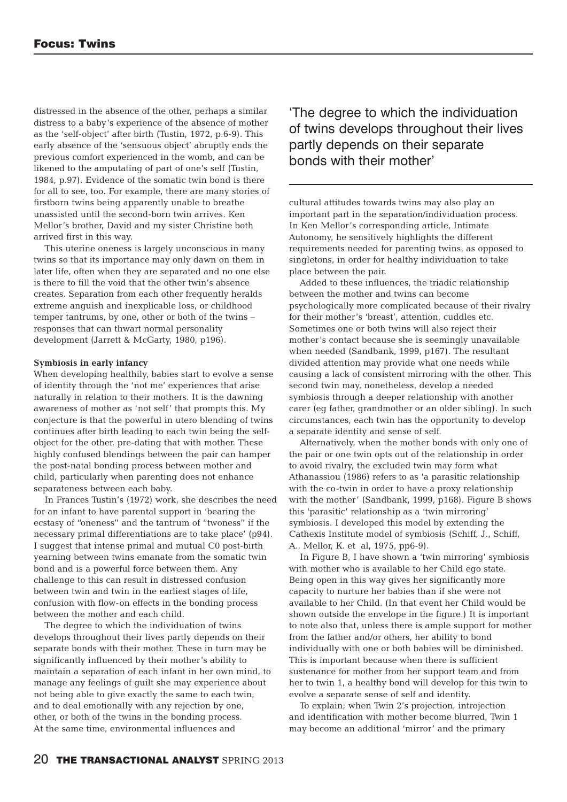distressed in the absence of the other, perhaps a similar distress to a baby's experience of the absence of mother as the 'self-object' after birth (Tustin, 1972, p.6-9). This early absence of the 'sensuous object' abruptly ends the previous comfort experienced in the womb, and can be likened to the amputating of part of one's self (Tustin, 1984, p.97). Evidence of the somatic twin bond is there for all to see, too. For example, there are many stories of firstborn twins being apparently unable to breathe unassisted until the second-born twin arrives. Ken Mellor's brother, David and my sister Christine both arrived first in this way.

This uterine oneness is largely unconscious in many twins so that its importance may only dawn on them in later life, often when they are separated and no one else is there to fill the void that the other twin's absence creates. Separation from each other frequently heralds extreme anguish and inexplicable loss, or childhood temper tantrums, by one, other or both of the twins – responses that can thwart normal personality development (Jarrett & McGarty, 1980, p196).

#### **Symbiosis in early infancy**

When developing healthily, babies start to evolve a sense of identity through the 'not me' experiences that arise naturally in relation to their mothers. It is the dawning awareness of mother as 'not self' that prompts this. My conjecture is that the powerful in utero blending of twins continues after birth leading to each twin being the selfobject for the other, pre-dating that with mother. These highly confused blendings between the pair can hamper the post-natal bonding process between mother and child, particularly when parenting does not enhance separateness between each baby.

In Frances Tustin's (1972) work, she describes the need for an infant to have parental support in 'bearing the ecstasy of "oneness" and the tantrum of "twoness" if the necessary primal differentiations are to take place' (p94). I suggest that intense primal and mutual C0 post-birth yearning between twins emanate from the somatic twin bond and is a powerful force between them. Any challenge to this can result in distressed confusion between twin and twin in the earliest stages of life, confusion with flow-on effects in the bonding process between the mother and each child.

The degree to which the individuation of twins develops throughout their lives partly depends on their separate bonds with their mother. These in turn may be significantly influenced by their mother's ability to maintain a separation of each infant in her own mind, to manage any feelings of guilt she may experience about not being able to give exactly the same to each twin, and to deal emotionally with any rejection by one, other, or both of the twins in the bonding process. At the same time, environmental influences and

'The degree to which the individuation of twins develops throughout their lives partly depends on their separate bonds with their mother'

cultural attitudes towards twins may also play an important part in the separation/individuation process. In Ken Mellor's corresponding article, Intimate Autonomy, he sensitively highlights the different requirements needed for parenting twins, as opposed to singletons, in order for healthy individuation to take place between the pair.

Added to these influences, the triadic relationship between the mother and twins can become psychologically more complicated because of their rivalry for their mother's 'breast', attention, cuddles etc. Sometimes one or both twins will also reject their mother's contact because she is seemingly unavailable when needed (Sandbank, 1999, p167). The resultant divided attention may provide what one needs while causing a lack of consistent mirroring with the other. This second twin may, nonetheless, develop a needed symbiosis through a deeper relationship with another carer (eg father, grandmother or an older sibling). In such circumstances, each twin has the opportunity to develop a separate identity and sense of self.

Alternatively, when the mother bonds with only one of the pair or one twin opts out of the relationship in order to avoid rivalry, the excluded twin may form what Athanassiou (1986) refers to as 'a parasitic relationship with the co-twin in order to have a proxy relationship with the mother' (Sandbank, 1999, p168). Figure B shows this 'parasitic' relationship as a 'twin mirroring' symbiosis. I developed this model by extending the Cathexis Institute model of symbiosis (Schiff, J., Schiff, A., Mellor, K. et al, 1975, pp6-9).

In Figure B, I have shown a 'twin mirroring' symbiosis with mother who is available to her Child ego state. Being open in this way gives her significantly more capacity to nurture her babies than if she were not available to her Child. (In that event her Child would be shown outside the envelope in the figure.) It is important to note also that, unless there is ample support for mother from the father and/or others, her ability to bond individually with one or both babies will be diminished. This is important because when there is sufficient sustenance for mother from her support team and from her to twin 1, a healthy bond will develop for this twin to evolve a separate sense of self and identity.

To explain; when Twin 2's projection, introjection and identification with mother become blurred, Twin 1 may become an additional 'mirror' and the primary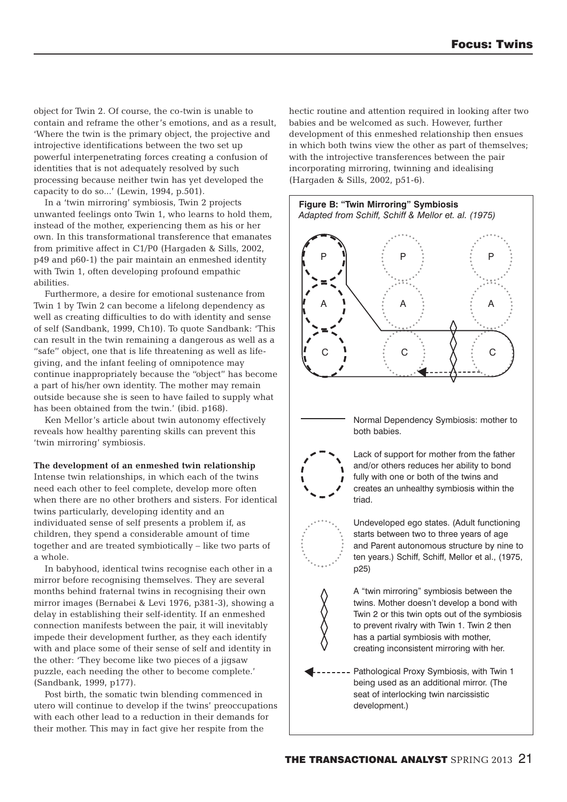object for Twin 2. Of course, the co-twin is unable to contain and reframe the other's emotions, and as a result, 'Where the twin is the primary object, the projective and introjective identifications between the two set up powerful interpenetrating forces creating a confusion of identities that is not adequately resolved by such processing because neither twin has yet developed the capacity to do so...' (Lewin, 1994, p.501).

In a 'twin mirroring' symbiosis, Twin 2 projects unwanted feelings onto Twin 1, who learns to hold them, instead of the mother, experiencing them as his or her own. In this transformational transference that emanates from primitive affect in C1/P0 (Hargaden & Sills, 2002, p49 and p60-1) the pair maintain an enmeshed identity with Twin 1, often developing profound empathic abilities.

Furthermore, a desire for emotional sustenance from Twin 1 by Twin 2 can become a lifelong dependency as well as creating difficulties to do with identity and sense of self (Sandbank, 1999, Ch10). To quote Sandbank: 'This can result in the twin remaining a dangerous as well as a "safe" object, one that is life threatening as well as lifegiving, and the infant feeling of omnipotence may continue inappropriately because the "object" has become a part of his/her own identity. The mother may remain outside because she is seen to have failed to supply what has been obtained from the twin.' (ibid. p168).

Ken Mellor's article about twin autonomy effectively reveals how healthy parenting skills can prevent this 'twin mirroring' symbiosis.

#### **The development of an enmeshed twin relationship**

Intense twin relationships, in which each of the twins need each other to feel complete, develop more often when there are no other brothers and sisters. For identical twins particularly, developing identity and an individuated sense of self presents a problem if, as children, they spend a considerable amount of time together and are treated symbiotically – like two parts of a whole.

In babyhood, identical twins recognise each other in a mirror before recognising themselves. They are several months behind fraternal twins in recognising their own mirror images (Bernabei & Levi 1976, p381-3), showing a delay in establishing their self-identity. If an enmeshed connection manifests between the pair, it will inevitably impede their development further, as they each identify with and place some of their sense of self and identity in the other: 'They become like two pieces of a jigsaw puzzle, each needing the other to become complete.' (Sandbank, 1999, p177).

Post birth, the somatic twin blending commenced in utero will continue to develop if the twins' preoccupations with each other lead to a reduction in their demands for their mother. This may in fact give her respite from the

hectic routine and attention required in looking after two babies and be welcomed as such. However, further development of this enmeshed relationship then ensues in which both twins view the other as part of themselves; with the introjective transferences between the pair incorporating mirroring, twinning and idealising (Hargaden & Sills, 2002, p51-6).



Normal Dependency Symbiosis: mother to both babies.



Lack of support for mother from the father and/or others reduces her ability to bond fully with one or both of the twins and creates an unhealthy symbiosis within the triad.

Undeveloped ego states. (Adult functioning starts between two to three years of age and Parent autonomous structure by nine to ten years.) Schiff, Schiff, Mellor et al., (1975, p25)

A "twin mirroring" symbiosis between the twins. Mother doesn't develop a bond with Twin 2 or this twin opts out of the symbiosis to prevent rivalry with Twin 1. Twin 2 then has a partial symbiosis with mother, creating inconsistent mirroring with her.

Pathological Proxy Symbiosis, with Twin 1 being used as an additional mirror. (The seat of interlocking twin narcissistic development.)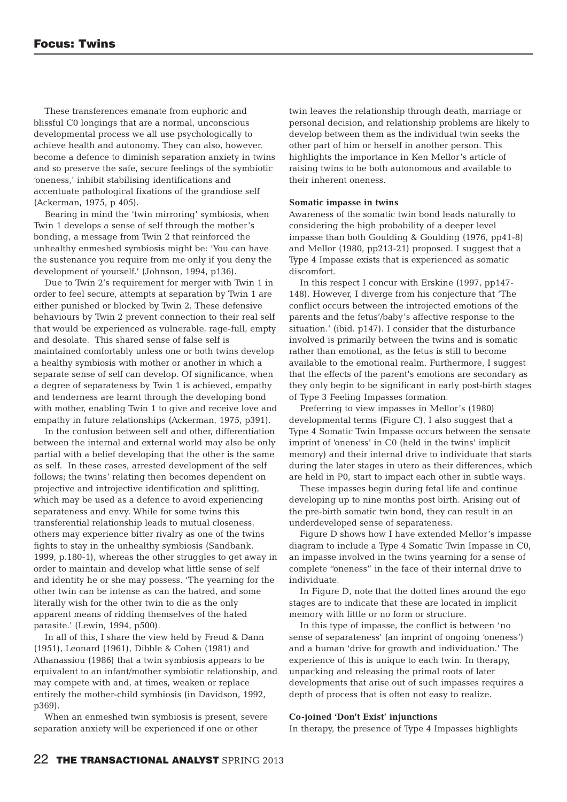These transferences emanate from euphoric and blissful C0 longings that are a normal, unconscious developmental process we all use psychologically to achieve health and autonomy. They can also, however, become a defence to diminish separation anxiety in twins and so preserve the safe, secure feelings of the symbiotic 'oneness,' inhibit stabilising identifications and accentuate pathological fixations of the grandiose self (Ackerman, 1975, p 405).

Bearing in mind the 'twin mirroring' symbiosis, when Twin 1 develops a sense of self through the mother's bonding, a message from Twin 2 that reinforced the unhealthy enmeshed symbiosis might be: 'You can have the sustenance you require from me only if you deny the development of yourself.' (Johnson, 1994, p136).

Due to Twin 2's requirement for merger with Twin 1 in order to feel secure, attempts at separation by Twin 1 are either punished or blocked by Twin 2. These defensive behaviours by Twin 2 prevent connection to their real self that would be experienced as vulnerable, rage-full, empty and desolate. This shared sense of false self is maintained comfortably unless one or both twins develop a healthy symbiosis with mother or another in which a separate sense of self can develop. Of significance, when a degree of separateness by Twin 1 is achieved, empathy and tenderness are learnt through the developing bond with mother, enabling Twin 1 to give and receive love and empathy in future relationships (Ackerman, 1975, p391).

In the confusion between self and other, differentiation between the internal and external world may also be only partial with a belief developing that the other is the same as self. In these cases, arrested development of the self follows; the twins' relating then becomes dependent on projective and introjective identification and splitting, which may be used as a defence to avoid experiencing separateness and envy. While for some twins this transferential relationship leads to mutual closeness, others may experience bitter rivalry as one of the twins fights to stay in the unhealthy symbiosis (Sandbank, 1999, p.180-1), whereas the other struggles to get away in order to maintain and develop what little sense of self and identity he or she may possess. 'The yearning for the other twin can be intense as can the hatred, and some literally wish for the other twin to die as the only apparent means of ridding themselves of the hated parasite.' (Lewin, 1994, p500).

In all of this, I share the view held by Freud & Dann (1951), Leonard (1961), Dibble & Cohen (1981) and Athanassiou (1986) that a twin symbiosis appears to be equivalent to an infant/mother symbiotic relationship, and may compete with and, at times, weaken or replace entirely the mother-child symbiosis (in Davidson, 1992, p369).

When an enmeshed twin symbiosis is present, severe separation anxiety will be experienced if one or other

twin leaves the relationship through death, marriage or personal decision, and relationship problems are likely to develop between them as the individual twin seeks the other part of him or herself in another person. This highlights the importance in Ken Mellor's article of raising twins to be both autonomous and available to their inherent oneness.

#### **Somatic impasse in twins**

Awareness of the somatic twin bond leads naturally to considering the high probability of a deeper level impasse than both Goulding & Goulding (1976, pp41-8) and Mellor (1980, pp213-21) proposed. I suggest that a Type 4 Impasse exists that is experienced as somatic discomfort.

In this respect I concur with Erskine (1997, pp147- 148). However, I diverge from his conjecture that 'The conflict occurs between the introjected emotions of the parents and the fetus'/baby's affective response to the situation.' (ibid. p147). I consider that the disturbance involved is primarily between the twins and is somatic rather than emotional, as the fetus is still to become available to the emotional realm. Furthermore, I suggest that the effects of the parent's emotions are secondary as they only begin to be significant in early post-birth stages of Type 3 Feeling Impasses formation.

Preferring to view impasses in Mellor's (1980) developmental terms (Figure C), I also suggest that a Type 4 Somatic Twin Impasse occurs between the sensate imprint of 'oneness' in C0 (held in the twins' implicit memory) and their internal drive to individuate that starts during the later stages in utero as their differences, which are held in P0, start to impact each other in subtle ways.

These impasses begin during fetal life and continue developing up to nine months post birth. Arising out of the pre-birth somatic twin bond, they can result in an underdeveloped sense of separateness.

Figure D shows how I have extended Mellor's impasse diagram to include a Type 4 Somatic Twin Impasse in C0, an impasse involved in the twins yearning for a sense of complete "oneness" in the face of their internal drive to individuate.

In Figure D, note that the dotted lines around the ego stages are to indicate that these are located in implicit memory with little or no form or structure.

In this type of impasse, the conflict is between 'no sense of separateness' (an imprint of ongoing 'oneness') and a human 'drive for growth and individuation.' The experience of this is unique to each twin. In therapy, unpacking and releasing the primal roots of later developments that arise out of such impasses requires a depth of process that is often not easy to realize.

#### **Co-joined 'Don't Exist' injunctions**

In therapy, the presence of Type 4 Impasses highlights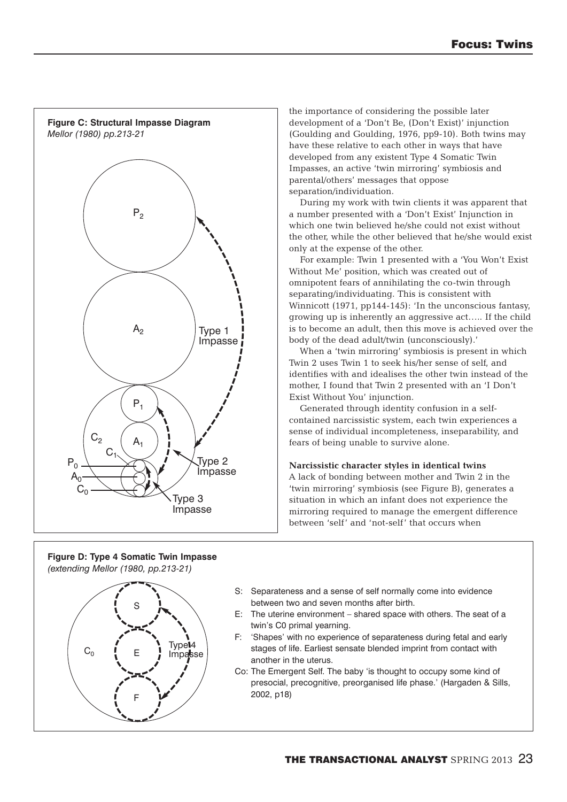

**Figure D: Type 4 Somatic Twin Impasse** *(extending Mellor (1980, pp.213-21)*



the importance of considering the possible later development of a 'Don't Be, (Don't Exist)' injunction (Goulding and Goulding, 1976, pp9-10). Both twins may have these relative to each other in ways that have developed from any existent Type 4 Somatic Twin Impasses, an active 'twin mirroring' symbiosis and parental/others' messages that oppose separation/individuation.

During my work with twin clients it was apparent that a number presented with a 'Don't Exist' Injunction in which one twin believed he/she could not exist without the other, while the other believed that he/she would exist only at the expense of the other.

For example: Twin 1 presented with a 'You Won't Exist Without Me' position, which was created out of omnipotent fears of annihilating the co-twin through separating/individuating. This is consistent with Winnicott (1971, pp144-145): 'In the unconscious fantasy, growing up is inherently an aggressive act….. If the child is to become an adult, then this move is achieved over the body of the dead adult/twin (unconsciously).'

When a 'twin mirroring' symbiosis is present in which Twin 2 uses Twin 1 to seek his/her sense of self, and identifies with and idealises the other twin instead of the mother, I found that Twin 2 presented with an 'I Don't Exist Without You' injunction.

Generated through identity confusion in a selfcontained narcissistic system, each twin experiences a sense of individual incompleteness, inseparability, and fears of being unable to survive alone.

#### **Narcissistic character styles in identical twins**

A lack of bonding between mother and Twin 2 in the 'twin mirroring' symbiosis (see Figure B), generates a situation in which an infant does not experience the mirroring required to manage the emergent difference between 'self' and 'not-self' that occurs when

- S: Separateness and a sense of self normally come into evidence between two and seven months after birth.
- E: The uterine environment shared space with others. The seat of a twin's C0 primal yearning.
- F: 'Shapes' with no experience of separateness during fetal and early stages of life. Earliest sensate blended imprint from contact with another in the uterus.
- Co: The Emergent Self. The baby 'is thought to occupy some kind of presocial, precognitive, preorganised life phase.' (Hargaden & Sills, 2002, p18)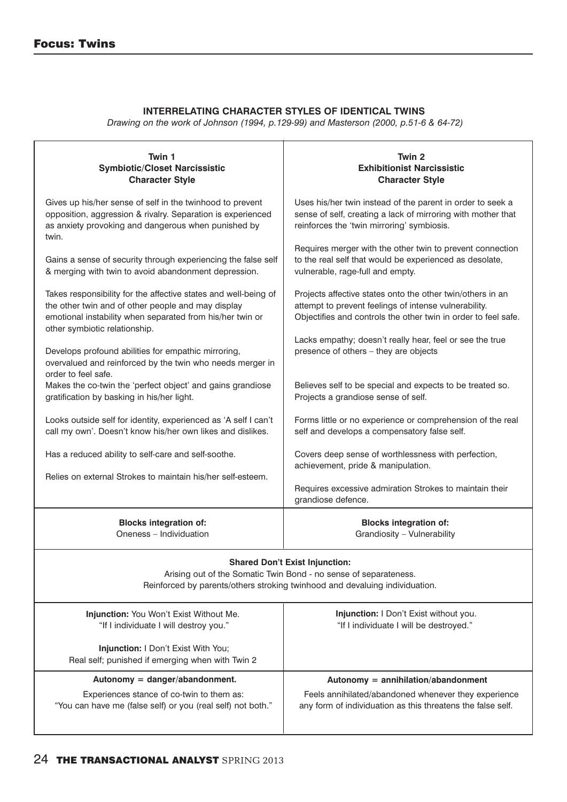## **INTERRELATING CHARACTER STYLES OF IDENTICAL TWINS**

*Drawing on the work of Johnson (1994, p.129-99) and Masterson (2000, p.51-6 & 64-72)*

| Twin 1<br><b>Symbiotic/Closet Narcissistic</b><br><b>Character Style</b>                                                                                                                 | Twin 2<br><b>Exhibitionist Narcissistic</b><br><b>Character Style</b>                                                                                                                 |
|------------------------------------------------------------------------------------------------------------------------------------------------------------------------------------------|---------------------------------------------------------------------------------------------------------------------------------------------------------------------------------------|
| Gives up his/her sense of self in the twinhood to prevent<br>opposition, aggression & rivalry. Separation is experienced<br>as anxiety provoking and dangerous when punished by<br>twin. | Uses his/her twin instead of the parent in order to seek a<br>sense of self, creating a lack of mirroring with mother that<br>reinforces the 'twin mirroring' symbiosis.              |
| Gains a sense of security through experiencing the false self<br>& merging with twin to avoid abandonment depression.                                                                    | Requires merger with the other twin to prevent connection<br>to the real self that would be experienced as desolate,<br>vulnerable, rage-full and empty.                              |
| Takes responsibility for the affective states and well-being of<br>the other twin and of other people and may display<br>emotional instability when separated from his/her twin or       | Projects affective states onto the other twin/others in an<br>attempt to prevent feelings of intense vulnerability.<br>Objectifies and controls the other twin in order to feel safe. |
| other symbiotic relationship.<br>Develops profound abilities for empathic mirroring,<br>overvalued and reinforced by the twin who needs merger in                                        | Lacks empathy; doesn't really hear, feel or see the true<br>presence of others - they are objects                                                                                     |
| order to feel safe.<br>Makes the co-twin the 'perfect object' and gains grandiose<br>gratification by basking in his/her light.                                                          | Believes self to be special and expects to be treated so.<br>Projects a grandiose sense of self.                                                                                      |
| Looks outside self for identity, experienced as 'A self I can't<br>call my own'. Doesn't know his/her own likes and dislikes.                                                            | Forms little or no experience or comprehension of the real<br>self and develops a compensatory false self.                                                                            |
| Has a reduced ability to self-care and self-soothe.                                                                                                                                      | Covers deep sense of worthlessness with perfection,<br>achievement, pride & manipulation.                                                                                             |
| Relies on external Strokes to maintain his/her self-esteem.                                                                                                                              | Requires excessive admiration Strokes to maintain their<br>grandiose defence.                                                                                                         |
| <b>Blocks integration of:</b><br>Oneness - Individuation                                                                                                                                 | <b>Blocks integration of:</b><br>Grandiosity - Vulnerability                                                                                                                          |
| <b>Shared Don't Exist Injunction:</b><br>Arising out of the Somatic Twin Bond - no sense of separateness.<br>Reinforced by parents/others stroking twinhood and devaluing individuation. |                                                                                                                                                                                       |
| Injunction: You Won't Exist Without Me.<br>"If I individuate I will destroy you."                                                                                                        | Injunction: I Don't Exist without you.<br>"If I individuate I will be destroyed."                                                                                                     |
| Injunction: I Don't Exist With You;<br>Real self; punished if emerging when with Twin 2                                                                                                  |                                                                                                                                                                                       |
| Autonomy = danger/abandonment.<br>Experiences stance of co-twin to them as:<br>"You can have me (false self) or you (real self) not both."                                               | Autonomy = $annihilation/abandoment$<br>Feels annihilated/abandoned whenever they experience<br>any form of individuation as this threatens the false self.                           |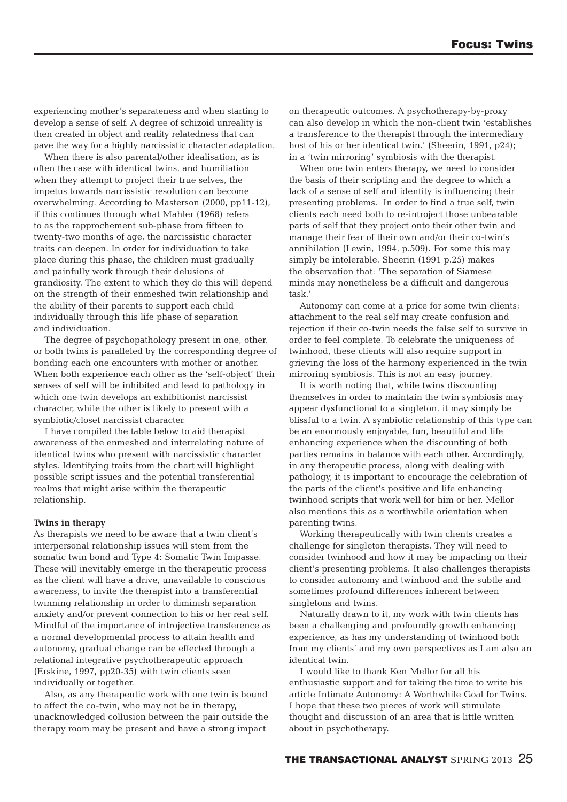experiencing mother's separateness and when starting to develop a sense of self. A degree of schizoid unreality is then created in object and reality relatedness that can pave the way for a highly narcissistic character adaptation.

When there is also parental/other idealisation, as is often the case with identical twins, and humiliation when they attempt to project their true selves, the impetus towards narcissistic resolution can become overwhelming. According to Masterson (2000, pp11-12), if this continues through what Mahler (1968) refers to as the rapprochement sub-phase from fifteen to twenty-two months of age, the narcissistic character traits can deepen. In order for individuation to take place during this phase, the children must gradually and painfully work through their delusions of grandiosity. The extent to which they do this will depend on the strength of their enmeshed twin relationship and the ability of their parents to support each child individually through this life phase of separation and individuation.

The degree of psychopathology present in one, other, or both twins is paralleled by the corresponding degree of bonding each one encounters with mother or another. When both experience each other as the 'self-object' their senses of self will be inhibited and lead to pathology in which one twin develops an exhibitionist narcissist character, while the other is likely to present with a symbiotic/closet narcissist character.

I have compiled the table below to aid therapist awareness of the enmeshed and interrelating nature of identical twins who present with narcissistic character styles. Identifying traits from the chart will highlight possible script issues and the potential transferential realms that might arise within the therapeutic relationship.

#### **Twins in therapy**

As therapists we need to be aware that a twin client's interpersonal relationship issues will stem from the somatic twin bond and Type 4: Somatic Twin Impasse. These will inevitably emerge in the therapeutic process as the client will have a drive, unavailable to conscious awareness, to invite the therapist into a transferential twinning relationship in order to diminish separation anxiety and/or prevent connection to his or her real self. Mindful of the importance of introjective transference as a normal developmental process to attain health and autonomy, gradual change can be effected through a relational integrative psychotherapeutic approach (Erskine, 1997, pp20-35) with twin clients seen individually or together.

Also, as any therapeutic work with one twin is bound to affect the co-twin, who may not be in therapy, unacknowledged collusion between the pair outside the therapy room may be present and have a strong impact

on therapeutic outcomes. A psychotherapy-by-proxy can also develop in which the non-client twin 'establishes a transference to the therapist through the intermediary host of his or her identical twin.' (Sheerin, 1991, p24); in a 'twin mirroring' symbiosis with the therapist.

When one twin enters therapy, we need to consider the basis of their scripting and the degree to which a lack of a sense of self and identity is influencing their presenting problems. In order to find a true self, twin clients each need both to re-introject those unbearable parts of self that they project onto their other twin and manage their fear of their own and/or their co-twin's annihilation (Lewin, 1994, p.509). For some this may simply be intolerable. Sheerin (1991 p.25) makes the observation that: 'The separation of Siamese minds may nonetheless be a difficult and dangerous task.'

Autonomy can come at a price for some twin clients; attachment to the real self may create confusion and rejection if their co-twin needs the false self to survive in order to feel complete. To celebrate the uniqueness of twinhood, these clients will also require support in grieving the loss of the harmony experienced in the twin mirroring symbiosis. This is not an easy journey.

It is worth noting that, while twins discounting themselves in order to maintain the twin symbiosis may appear dysfunctional to a singleton, it may simply be blissful to a twin. A symbiotic relationship of this type can be an enormously enjoyable, fun, beautiful and life enhancing experience when the discounting of both parties remains in balance with each other. Accordingly, in any therapeutic process, along with dealing with pathology, it is important to encourage the celebration of the parts of the client's positive and life enhancing twinhood scripts that work well for him or her. Mellor also mentions this as a worthwhile orientation when parenting twins.

Working therapeutically with twin clients creates a challenge for singleton therapists. They will need to consider twinhood and how it may be impacting on their client's presenting problems. It also challenges therapists to consider autonomy and twinhood and the subtle and sometimes profound differences inherent between singletons and twins.

Naturally drawn to it, my work with twin clients has been a challenging and profoundly growth enhancing experience, as has my understanding of twinhood both from my clients' and my own perspectives as I am also an identical twin.

I would like to thank Ken Mellor for all his enthusiastic support and for taking the time to write his article Intimate Autonomy: A Worthwhile Goal for Twins. I hope that these two pieces of work will stimulate thought and discussion of an area that is little written about in psychotherapy.